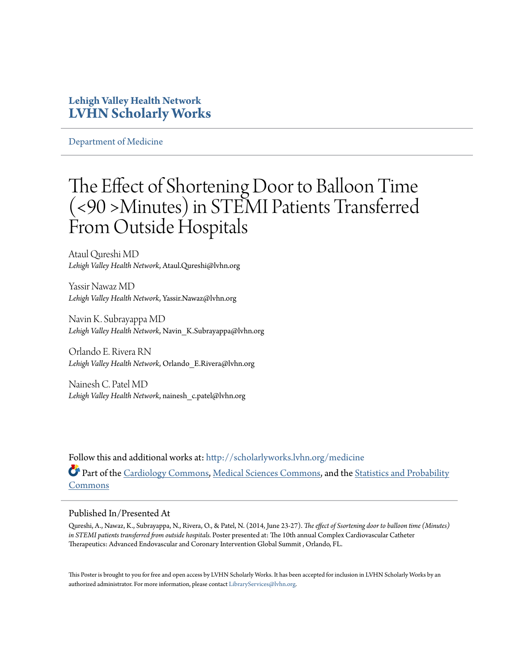### **Lehigh Valley Health Network [LVHN Scholarly Works](http://scholarlyworks.lvhn.org?utm_source=scholarlyworks.lvhn.org%2Fmedicine%2F472&utm_medium=PDF&utm_campaign=PDFCoverPages)**

[Department of Medicine](http://scholarlyworks.lvhn.org/medicine?utm_source=scholarlyworks.lvhn.org%2Fmedicine%2F472&utm_medium=PDF&utm_campaign=PDFCoverPages)

### The Effect of Shortening Door to Balloon Time (<90 >Minutes) in STEMI Patients Transferred From Outside Hospitals

Ataul Qureshi MD *Lehigh Valley Health Network*, Ataul.Qureshi@lvhn.org

Yassir Nawaz MD *Lehigh Valley Health Network*, Yassir.Nawaz@lvhn.org

Navin K. Subrayappa MD *Lehigh Valley Health Network*, Navin\_K.Subrayappa@lvhn.org

Orlando E. Rivera RN *Lehigh Valley Health Network*, Orlando\_E.Rivera@lvhn.org

Nainesh C. Patel MD *Lehigh Valley Health Network*, nainesh\_c.patel@lvhn.org

Follow this and additional works at: [http://scholarlyworks.lvhn.org/medicine](http://scholarlyworks.lvhn.org/medicine?utm_source=scholarlyworks.lvhn.org%2Fmedicine%2F472&utm_medium=PDF&utm_campaign=PDFCoverPages) Part of the [Cardiology Commons](http://network.bepress.com/hgg/discipline/683?utm_source=scholarlyworks.lvhn.org%2Fmedicine%2F472&utm_medium=PDF&utm_campaign=PDFCoverPages), [Medical Sciences Commons](http://network.bepress.com/hgg/discipline/664?utm_source=scholarlyworks.lvhn.org%2Fmedicine%2F472&utm_medium=PDF&utm_campaign=PDFCoverPages), and the [Statistics and Probability](http://network.bepress.com/hgg/discipline/208?utm_source=scholarlyworks.lvhn.org%2Fmedicine%2F472&utm_medium=PDF&utm_campaign=PDFCoverPages) [Commons](http://network.bepress.com/hgg/discipline/208?utm_source=scholarlyworks.lvhn.org%2Fmedicine%2F472&utm_medium=PDF&utm_campaign=PDFCoverPages)

### Published In/Presented At

Qureshi, A., Nawaz, K., Subrayappa, N., Rivera, O., & Patel, N. (2014, June 23-27). *The effect of Ssortening door to balloon time (Minutes) in STEMI patients transferred from outside hospitals.* Poster presented at: The 10th annual Complex Cardiovascular Catheter Therapeutics: Advanced Endovascular and Coronary Intervention Global Summit , Orlando, FL.

This Poster is brought to you for free and open access by LVHN Scholarly Works. It has been accepted for inclusion in LVHN Scholarly Works by an authorized administrator. For more information, please contact  $\operatorname{Library}S$ ervices $@$ lvhn.org.